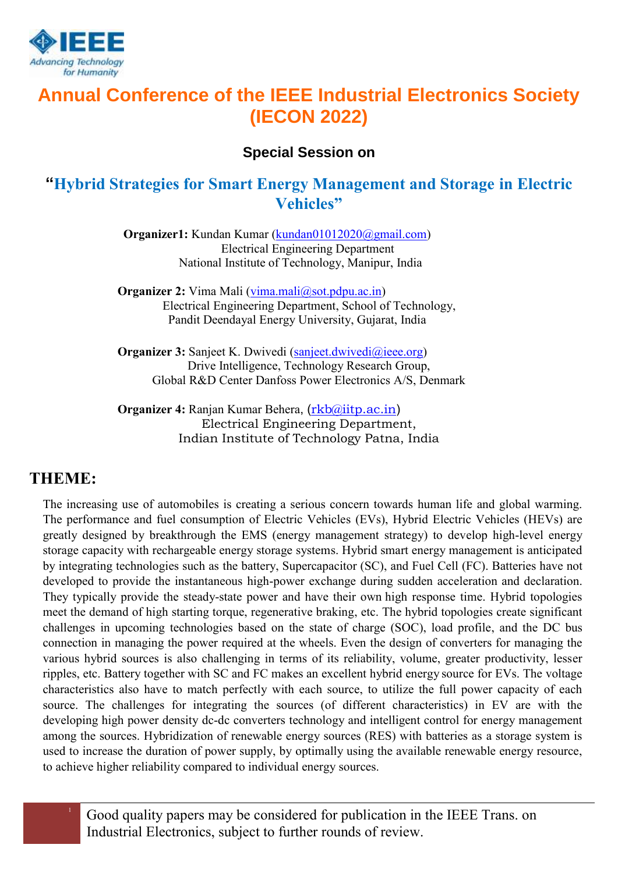

# **Annual Conference of the IEEE Industrial Electronics Society (IECON 2022)**

#### **Special Session on**

### **"Hybrid Strategies for Smart Energy Management and Storage in Electric Vehicles"**

**Organizer1:** Kundan Kumar [\(kundan01012020@gmail.com\)](mailto:kundan01012020@gmail.com) Electrical Engineering Department National Institute of Technology, Manipur, India

**Organizer 2:** Vima Mali [\(vima.mali@sot.pdpu.ac.in\)](mailto:vima.mali@sot.pdpu.ac.in) Electrical Engineering Department, School of Technology, Pandit Deendayal Energy University, Gujarat, India

**Organizer 3:** Sanjeet K. Dwivedi [\(sanjeet.dwivedi@ieee.org\)](mailto:sanjeet.dwivedi@ieee.org) Drive Intelligence, Technology Research Group, Global R&D Center Danfoss Power Electronics A/S, Denmark

**Organizer 4:** Ranjan Kumar Behera, ([rkb@iitp.ac.in](mailto:rkb@iitp.ac.in)) Electrical Engineering Department, Indian Institute of Technology Patna, India

### **THEME:**

The increasing use of automobiles is creating a serious concern towards human life and global warming. The performance and fuel consumption of Electric Vehicles (EVs), Hybrid Electric Vehicles (HEVs) are greatly designed by breakthrough the EMS (energy management strategy) to develop high-level energy storage capacity with rechargeable energy storage systems. Hybrid smart energy management is anticipated by integrating technologies such as the battery, Supercapacitor (SC), and Fuel Cell (FC). Batteries have not developed to provide the instantaneous high-power exchange during sudden acceleration and declaration. They typically provide the steady-state power and have their own high response time. Hybrid topologies meet the demand of high starting torque, regenerative braking, etc. The hybrid topologies create significant challenges in upcoming technologies based on the state of charge (SOC), load profile, and the DC bus connection in managing the power required at the wheels. Even the design of converters for managing the various hybrid sources is also challenging in terms of its reliability, volume, greater productivity, lesser ripples, etc. Battery together with SC and FC makes an excellent hybrid energy source for EVs. The voltage characteristics also have to match perfectly with each source, to utilize the full power capacity of each source. The challenges for integrating the sources (of different characteristics) in EV are with the developing high power density dc-dc converters technology and intelligent control for energy management among the sources. Hybridization of renewable energy sources (RES) with batteries as a storage system is used to increase the duration of power supply, by optimally using the available renewable energy resource, to achieve higher reliability compared to individual energy sources.

<sup>1</sup> Good quality papers may be considered for publication in the IEEE Trans. on Industrial Electronics, subject to further rounds of review.